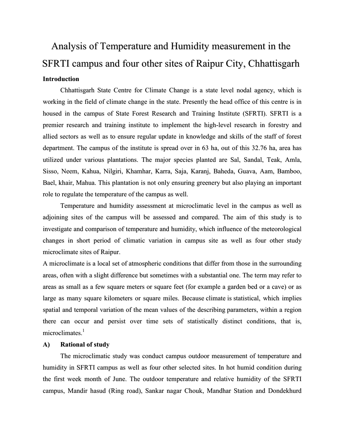# Analysis of Temperature and Humidity measurement in the SFRTI campus and four other sites of Raipur City, Chhattisgarh Introduction

Chhattisgarh State Centre for Climate Change is a state level nodal agency, which is working in the field of climate change in the state. Presently the head office of this centre is in housed in the campus of State Forest Research and Training Institute (SFRTI). SFRTI is a premier research and training institute to implement the high-level research in forestry and allied sectors as well as to ensure regular update in knowledge and skills of the staff of forest department. The campus of the institute is spread over in 63 ha, out of this 32.76 ha, area has utilized under various plantations. The major species planted are Sal, Sandal, Teak, Amla, Sisso, Neem, Kahua, Nilgiri, Khamhar, Karra, Saja, Karanj, Baheda, Guava, Aam, Bamboo, Bael, khair, Mahua. This plantation is not only ensuring greenery but also playing an important role to regulate the temperature of the campus as well.

Temperature and humidity assessment at microclimatic level in the campus as well as adjoining sites of the campus will be assessed and compared. The aim of this study is to investigate and comparison of temperature and humidity, which influence of the meteorological changes in short period of climatic variation in campus site as well as four other study microclimate sites of Raipur.

A microclimate is a local set of atmospheric conditions that differ from those in the surrounding areas, often with a slight difference but sometimes with a substantial one. The term may refer to areas as small as a few square meters or square feet (for example a garden bed or a cave) or as large as many square kilometers or square miles. Because climate is statistical, which implies spatial and temporal variation of the mean values of the describing parameters, within a region there can occur and persist over time sets of statistically distinct conditions, that is, microclimates.<sup>1</sup>

#### A) Rational of study

The microclimatic study was conduct campus outdoor measurement of temperature and humidity in SFRTI campus as well as four other selected sites. In hot humid condition during the first week month of June. The outdoor temperature and relative humidity of the SFRTI campus, Mandir hasud (Ring road), Sankar nagar Chouk, Mandhar Station and Dondekhurd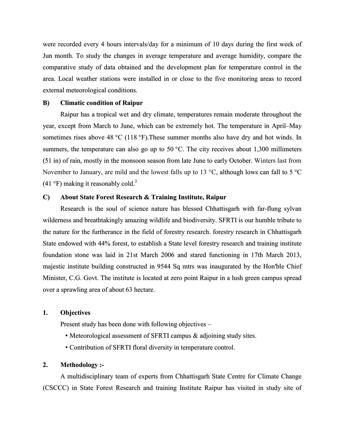were recorded every 4 hours intervals/day for a minimum of 10 days during the first week of Jun month. To study the changes in average temperature and average humidity, compare the comparative study of data obtained and the development plan for temperature control in the area. Local weather stations were installed in or close to the five monitoring areas to record external meteorological conditions.

#### B) Climatic condition of Raipur

Raipur has a tropical wet and dry climate, temperatures remain moderate throughout the year, except from March to June, which can be extremely hot. The temperature in April–May sometimes rises above 48 °C (118 °F). These summer months also have dry and hot winds. In summers, the temperature can also go up to 50  $\degree$ C. The city receives about 1,300 millimeters (51 in) of rain, mostly in the monsoon season from late June to early October. Winters last from November to January, are mild and the lowest falls up to 13 °C, although lows can fall to 5 °C (41 °F) making it reasonably cold.<sup>3</sup>

## C) About State Forest Research & Training Institute, Raipur

Research is the soul of science nature has blessed Chhattisgarh with far-flung sylvan wilderness and breathtakingly amazing wildlife and biodiversity. SFRTI is our humble tribute to the nature for the furtherance in the field of forestry research. forestry research in Chhattisgarh State endowed with 44% forest, to establish a State level forestry research and training institute foundation stone was laid in 21st March 2006 and stared functioning in 17th March 2013, majestic institute building constructed in 9544 Sq mtrs was inaugurated by the Hon'ble Chief Minister, C.G. Govt. The institute is located at zero point Raipur in a lush green campus spread over a sprawling area of about 63 hectare.

#### 1. Objectives

Present study has been done with following objectives –

- Meteorological assessment of SFRTI campus & adjoining study sites.
- Contribution of SFRTI floral diversity in temperature control.

#### 2. Methodology :-

A multidisciplinary team of experts from Chhattisgarh State Centre for Climate Change (CSCCC) in State Forest Research and training Institute Raipur has visited in study site of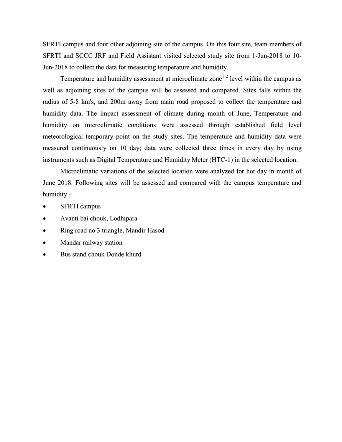SFRTI campus and four other adjoining site of the campus. On this four site, team members of SFRTI and SCCC JRF and Field Assistant visited selected study site from 1-Jun-2018 to 10- Jun-2018 to collect the data for measuring temperature and humidity.

Temperature and humidity assessment at microclimate zone<sup>1-2</sup> level within the campus as well as adjoining sites of the campus will be assessed and compared. Sites falls within the radius of 5-8 km's, and 200m away from main road proposed to collect the temperature and humidity data. The impact assessment of climate during month of June, Temperature and humidity on microclimatic conditions were assessed through established field level meteorological temporary point on the study sites. The temperature and humidity data were measured continuously on 10 day; data were collected three times in every day by using instruments such as Digital Temperature and Humidity Meter (HTC-1) in the selected location.

Microclimatic variations of the selected location were analyzed for hot day in month of June 2018. Following sites will be assessed and compared with the campus temperature and humidity -

- SFRTI campus
- Avanti bai chouk, Lodhipara
- Ring road no 3 triangle, Mandir Hasod
- Mandar railway station
- Bus stand chouk Donde khurd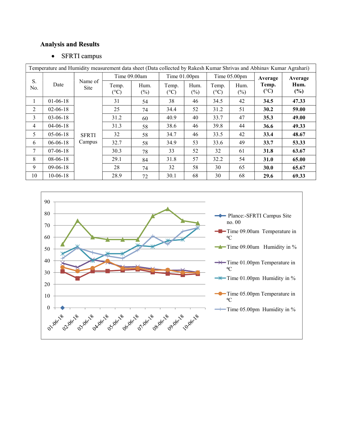## Analysis and Results

## • SFRTI campus

| Temperature and Humidity measurement data sheet (Data collected by Rakesh Kumar Shrivas and Abhinav Kumar Agrahari) |                |                        |               |                |                       |                |                        |                |                        |             |
|---------------------------------------------------------------------------------------------------------------------|----------------|------------------------|---------------|----------------|-----------------------|----------------|------------------------|----------------|------------------------|-------------|
| S.<br>No.                                                                                                           | Date           | Name of<br><b>Site</b> | Time 09.00am  |                | Time 01.00pm          |                | Time 05.00pm           |                | Average                | Average     |
|                                                                                                                     |                |                        | Temp.<br>(°C) | Hum.<br>$(\%)$ | Temp.<br>$(^\circ C)$ | Hum.<br>$(\%)$ | Temp.<br>$(^{\circ}C)$ | Hum.<br>$(\%)$ | Temp.<br>$(^{\circ}C)$ | Hum.<br>(%) |
| $\mathbf{1}$                                                                                                        | $01-06-18$     |                        | 31            | 54             | 38                    | 46             | 34.5                   | 42             | 34.5                   | 47.33       |
| 2                                                                                                                   | $02 - 06 - 18$ |                        | 25            | 74             | 34.4                  | 52             | 31.2                   | 51             | 30.2                   | 59.00       |
| 3                                                                                                                   | $03 - 06 - 18$ |                        | 31.2          | 60             | 40.9                  | 40             | 33.7                   | 47             | 35.3                   | 49.00       |
| 4                                                                                                                   | $04 - 06 - 18$ |                        | 31.3          | 58             | 38.6                  | 46             | 39.8                   | 44             | 36.6                   | 49.33       |
| 5                                                                                                                   | $05 - 06 - 18$ | <b>SFRTI</b>           | 32            | 58             | 34.7                  | 46             | 33.5                   | 42             | 33.4                   | 48.67       |
| 6                                                                                                                   | $06 - 06 - 18$ | Campus                 | 32.7          | 58             | 34.9                  | 53             | 33.6                   | 49             | 33.7                   | 53.33       |
| 7                                                                                                                   | $07-06-18$     |                        | 30.3          | 78             | 33                    | 52             | 32                     | 61             | 31.8                   | 63.67       |
| 8                                                                                                                   | $08 - 06 - 18$ |                        | 29.1          | 84             | 31.8                  | 57             | 32.2                   | 54             | <b>31.0</b>            | 65.00       |
| 9                                                                                                                   | $09-06-18$     |                        | 28            | 74             | 32                    | 58             | 30                     | 65             | <b>30.0</b>            | 65.67       |
| 10                                                                                                                  | $10-06-18$     |                        | 28.9          | 72             | 30.1                  | 68             | 30                     | 68             | 29.6                   | 69.33       |

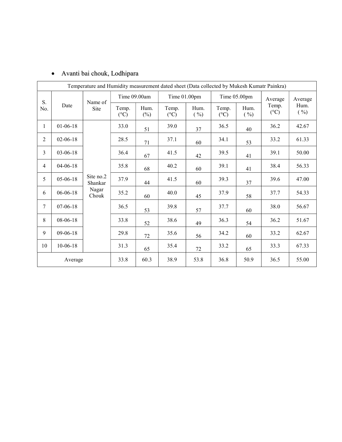| Temperature and Humidity measurement dated sheet (Data collected by Mukesh Kumatr Painkra) |                |                                        |                        |                |                          |              |                          |              |                          |              |
|--------------------------------------------------------------------------------------------|----------------|----------------------------------------|------------------------|----------------|--------------------------|--------------|--------------------------|--------------|--------------------------|--------------|
| S.<br>No.                                                                                  | Date           | Name of<br>Site                        | Time 09.00am           |                | Time 01.00pm             |              | Time 05.00pm             |              | Average                  | Average      |
|                                                                                            |                |                                        | Temp.<br>$(^{\circ}C)$ | Hum.<br>$(\%)$ | Temp.<br>$({}^{\circ}C)$ | Hum.<br>( %) | Temp.<br>$({}^{\circ}C)$ | Hum.<br>( %) | Temp.<br>$({}^{\circ}C)$ | Hum.<br>( %) |
| $\mathbf{1}$                                                                               | $01-06-18$     | Site no.2<br>Shankar<br>Nagar<br>Chouk | 33.0                   | 51             | 39.0                     | 37           | 36.5                     | 40           | 36.2                     | 42.67        |
| $\overline{2}$                                                                             | $02 - 06 - 18$ |                                        | 28.5                   | 71             | 37.1                     | 60           | 34.1                     | 53           | 33.2                     | 61.33        |
| $\overline{3}$                                                                             | $03 - 06 - 18$ |                                        | 36.4                   | 67             | 41.5                     | 42           | 39.5                     | 41           | 39.1                     | 50.00        |
| $\overline{4}$                                                                             | $04 - 06 - 18$ |                                        | 35.8                   | 68             | 40.2                     | 60           | 39.1                     | 41           | 38.4                     | 56.33        |
| 5                                                                                          | $05 - 06 - 18$ |                                        | 37.9                   | 44             | 41.5                     | 60           | 39.3                     | 37           | 39.6                     | 47.00        |
| 6                                                                                          | $06 - 06 - 18$ |                                        | 35.2                   | 60             | 40.0                     | 45           | 37.9                     | 58           | 37.7                     | 54.33        |
| $\tau$                                                                                     | $07 - 06 - 18$ |                                        | 36.5                   | 53             | 39.8                     | 57           | 37.7                     | 60           | 38.0                     | 56.67        |
| 8                                                                                          | 08-06-18       |                                        | 33.8                   | 52             | 38.6                     | 49           | 36.3                     | 54           | 36.2                     | 51.67        |
| 9                                                                                          | $09-06-18$     |                                        | 29.8                   | 72             | 35.6                     | 56           | 34.2                     | 60           | 33.2                     | 62.67        |
| 10                                                                                         | $10-06-18$     |                                        | 31.3                   | 65             | 35.4                     | 72           | 33.2                     | 65           | 33.3                     | 67.33        |
| Average                                                                                    |                |                                        | 33.8                   | 60.3           | 38.9                     | 53.8         | 36.8                     | 50.9         | 36.5                     | 55.00        |

## Avanti bai chouk, Lodhipara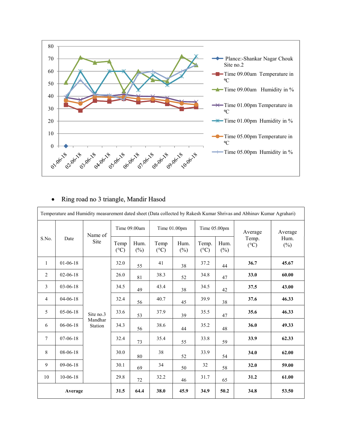

## Ring road no 3 triangle, Mandir Hasod

| Temperature and Humidity measurement dated sheet (Data collected by Rakesh Kumar Shrivas and Abhinav Kumar Agrahari) |                |                                 |                         |                |                         |                |                          |                |                        |                |
|----------------------------------------------------------------------------------------------------------------------|----------------|---------------------------------|-------------------------|----------------|-------------------------|----------------|--------------------------|----------------|------------------------|----------------|
| S.No.                                                                                                                | Date           | Name of<br>Site                 | Time 09.00am            |                | Time 01.00pm            |                | Time 05.00pm             |                | Average                | Average        |
|                                                                                                                      |                |                                 | Temp<br>$({}^{\circ}C)$ | Hum.<br>$(\%)$ | Temp<br>$({}^{\circ}C)$ | Hum.<br>$(\%)$ | Temp.<br>$({}^{\circ}C)$ | Hum.<br>$(\%)$ | Temp.<br>$(^{\circ}C)$ | Hum.<br>$(\%)$ |
| $\mathbf{1}$                                                                                                         | $01-06-18$     | Site no.3<br>Mandhar<br>Station | 32.0                    | 55             | 41                      | 38             | 37.2                     | 44             | 36.7                   | 45.67          |
| 2                                                                                                                    | $02 - 06 - 18$ |                                 | 26.0                    | 81             | 38.3                    | 52             | 34.8                     | 47             | 33.0                   | 60.00          |
| 3                                                                                                                    | 03-06-18       |                                 | 34.5                    | 49             | 43.4                    | 38             | 34.5                     | $42\,$         | 37.5                   | 43.00          |
| $\overline{4}$                                                                                                       | $04 - 06 - 18$ |                                 | 32.4                    | 56             | 40.7                    | 45             | 39.9                     | 38             | 37.6                   | 46.33          |
| 5                                                                                                                    | $05-06-18$     |                                 | 33.6                    | 53             | 37.9                    | 39             | 35.5                     | 47             | 35.6                   | 46.33          |
| 6                                                                                                                    | $06 - 06 - 18$ |                                 | 34.3                    | 56             | 38.6                    | 44             | 35.2                     | 48             | 36.0                   | 49.33          |
| $\tau$                                                                                                               | $07-06-18$     |                                 | 32.4                    | 73             | 35.4                    | 55             | 33.8                     | 59             | 33.9                   | 62.33          |
| 8                                                                                                                    | 08-06-18       |                                 | 30.0                    | 80             | 38                      | 52             | 33.9                     | 54             | 34.0                   | 62.00          |
| 9                                                                                                                    | 09-06-18       |                                 | 30.1                    | 69             | 34                      | 50             | 32                       | 58             | 32.0                   | 59.00          |
| 10                                                                                                                   | $10-06-18$     |                                 | 29.8                    | 72             | 32.2                    | 46             | 31.7                     | 65             | 31.2                   | 61.00          |
| Average                                                                                                              |                |                                 | 31.5                    | 64.4           | 38.0                    | 45.9           | 34.9                     | 50.2           | 34.8                   | 53.50          |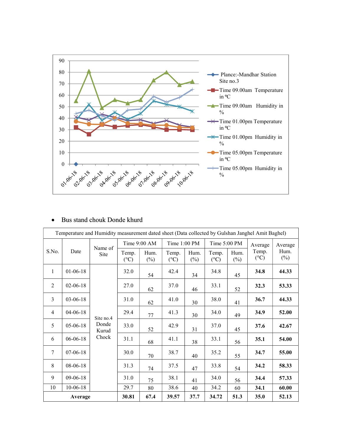

## Bus stand chouk Donde khurd

| Temperature and Humidity measurement dated sheet (Data collected by Gulshan Janghel Amit Baghel) |                |                                      |                |                          |                |                        |                |                          |                |         |
|--------------------------------------------------------------------------------------------------|----------------|--------------------------------------|----------------|--------------------------|----------------|------------------------|----------------|--------------------------|----------------|---------|
| S.No.<br>Date                                                                                    |                | Name of                              | Time 9:00 AM   |                          | Time 1:00 PM   |                        | Time 5:00 PM   |                          | Average        | Average |
|                                                                                                  | Site           | Temp.<br>$({}^{\circ}C)$             | Hum.<br>$(\%)$ | Temp.<br>$({}^{\circ}C)$ | Hum.<br>$(\%)$ | Temp.<br>$(^{\circ}C)$ | Hum.<br>$(\%)$ | Temp.<br>$({}^{\circ}C)$ | Hum.<br>$(\%)$ |         |
| $\mathbf{1}$                                                                                     | $01 - 06 - 18$ | Site no.4<br>Donde<br>Kurud<br>Chock | 32.0           | 54                       | 42.4           | 34                     | 34.8           | 45                       | 34.8           | 44.33   |
| $\overline{2}$                                                                                   | $02 - 06 - 18$ |                                      | 27.0           | 62                       | 37.0           | 46                     | 33.1           | 52                       | 32.3           | 53.33   |
| 3                                                                                                | $03-06-18$     |                                      | 31.0           | 62                       | 41.0           | 30                     | 38.0           | 41                       | 36.7           | 44.33   |
| $\overline{4}$                                                                                   | $04 - 06 - 18$ |                                      | 29.4           | 77                       | 41.3           | 30                     | 34.0           | 49                       | 34.9           | 52.00   |
| 5                                                                                                | $05 - 06 - 18$ |                                      | 33.0           | 52                       | 42.9           | 31                     | 37.0           | 45                       | 37.6           | 42.67   |
| 6                                                                                                | $06 - 06 - 18$ |                                      | 31.1           | 68                       | 41.1           | 38                     | 33.1           | 56                       | 35.1           | 54.00   |
| 7                                                                                                | $07-06-18$     |                                      | 30.0           | 70                       | 38.7           | 40                     | 35.2           | 55                       | 34.7           | 55.00   |
| 8                                                                                                | 08-06-18       |                                      | 31.3           | 74                       | 37.5           | 47                     | 33.8           | 54                       | 34.2           | 58.33   |
| 9                                                                                                | $09-06-18$     |                                      | 31.0           | 75                       | 38.1           | 41                     | 34.0           | 56                       | 34.4           | 57.33   |
| 10                                                                                               | $10 - 06 - 18$ |                                      | 29.7           | 80                       | 38.6           | 40                     | 34.2           | 60                       | 34.1           | 60.00   |
| Average                                                                                          |                |                                      | 30.81          | 67.4                     | 39.57          | 37.7                   | 34.72          | 51.3                     | 35.0           | 52.13   |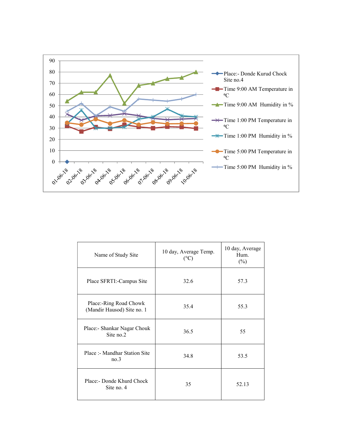

| Name of Study Site                                   | 10 day, Average Temp.<br>$(^{\circ}C)$ | 10 day, Average<br>Hum.<br>$(\%)$ |
|------------------------------------------------------|----------------------------------------|-----------------------------------|
| Place SFRTI:-Campus Site                             | 32.6                                   | 57.3                              |
| Place:-Ring Road Chowk<br>(Mandir Hausod) Site no. 1 | 35.4                                   | 55.3                              |
| Place:- Shankar Nagar Chouk<br>Site no.2             | 36.5                                   | 55                                |
| Place :- Mandhar Station Site<br>no.3                | 34.8                                   | 53.5                              |
| Place:- Donde Khurd Chock<br>Site no. 4              | 35                                     | 52.13                             |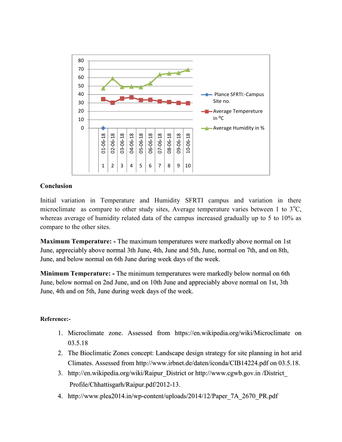

## Conclusion

Initial variation in Temperature and Humidity SFRTI campus and variation in there microclimate as compare to other study sites, Average temperature varies between 1 to  $3^{\circ}C$ , whereas average of humidity related data of the campus increased gradually up to 5 to 10% as compare to the other sites.

Maximum Temperature: - The maximum temperatures were markedly above normal on 1st June, appreciably above normal 3th June, 4th, June and 5th, June, normal on 7th, and on 8th, June, and below normal on 6th June during week days of the week.

Minimum Temperature: - The minimum temperatures were markedly below normal on 6th June, below normal on 2nd June, and on 10th June and appreciably above normal on 1st, 3th June, 4th and on 5th, June during week days of the week.

## Reference:-

- 1. Microclimate zone. Assessed from https://en.wikipedia.org/wiki/Microclimate on 03.5.18
- 2. The Bioclimatic Zones concept: Landscape design strategy for site planning in hot arid Climates. Assessed from http://www.irbnet.de/daten/iconda/CIB14224.pdf on 03.5.18.
- 3. http://en.wikipedia.org/wiki/Raipur\_District or http://www.cgwb.gov.in /District\_ Profile/Chhattisgarh/Raipur.pdf/2012-13.
- 4. http://www.plea2014.in/wp-content/uploads/2014/12/Paper\_7A\_2670\_PR.pdf